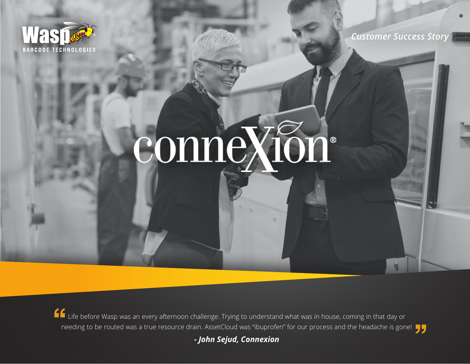

*Customer Success Story*

# connexton®

Life before Wasp was an every afternoon challenge. Trying to understand what was in house, coming in that day or needing to be routed was a true resource drain. AssetCloud was "ibuprofen" for our process and the headache is gone!

*- John Sejud, Connexion*